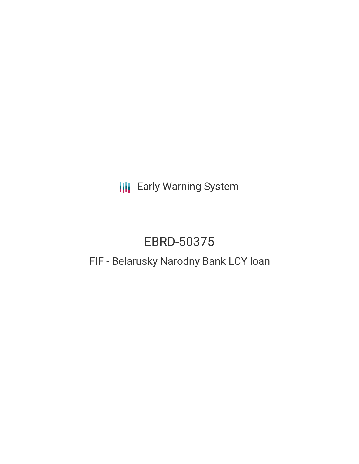**III** Early Warning System

# EBRD-50375

# FIF - Belarusky Narodny Bank LCY loan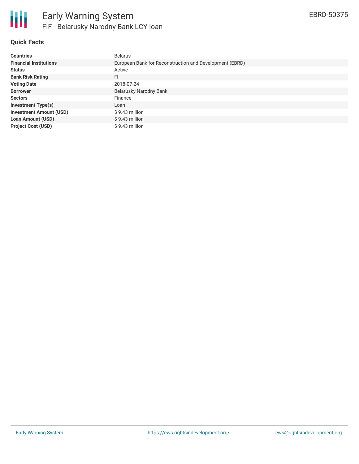

## **Quick Facts**

| <b>Countries</b>               | <b>Belarus</b>                                          |
|--------------------------------|---------------------------------------------------------|
| <b>Financial Institutions</b>  | European Bank for Reconstruction and Development (EBRD) |
| <b>Status</b>                  | Active                                                  |
| <b>Bank Risk Rating</b>        | FI                                                      |
| <b>Voting Date</b>             | 2018-07-24                                              |
| <b>Borrower</b>                | Belarusky Narodny Bank                                  |
| <b>Sectors</b>                 | Finance                                                 |
| <b>Investment Type(s)</b>      | Loan                                                    |
| <b>Investment Amount (USD)</b> | $$9.43$ million                                         |
| <b>Loan Amount (USD)</b>       | $$9.43$ million                                         |
| <b>Project Cost (USD)</b>      | \$9.43 million                                          |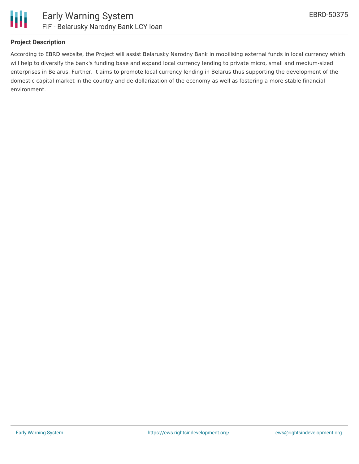

#### **Project Description**

According to EBRD website, the Project will assist Belarusky Narodny Bank in mobilising external funds in local currency which will help to diversify the bank's funding base and expand local currency lending to private micro, small and medium-sized enterprises in Belarus. Further, it aims to promote local currency lending in Belarus thus supporting the development of the domestic capital market in the country and de-dollarization of the economy as well as fostering a more stable financial environment.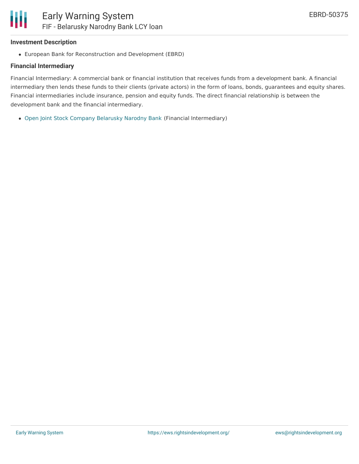#### **Investment Description**

European Bank for Reconstruction and Development (EBRD)

## **Financial Intermediary**

Financial Intermediary: A commercial bank or financial institution that receives funds from a development bank. A financial intermediary then lends these funds to their clients (private actors) in the form of loans, bonds, guarantees and equity shares. Financial intermediaries include insurance, pension and equity funds. The direct financial relationship is between the development bank and the financial intermediary.

Open Joint Stock Company [Belarusky](file:///actor/1448/) Narodny Bank (Financial Intermediary)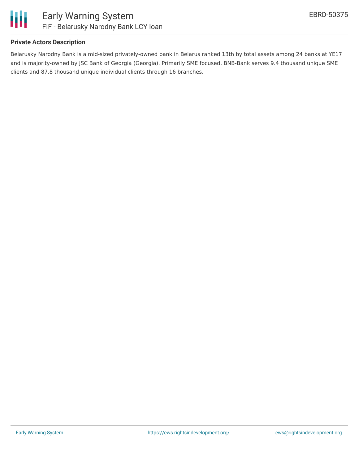

#### **Private Actors Description**

Belarusky Narodny Bank is a mid-sized privately-owned bank in Belarus ranked 13th by total assets among 24 banks at YE17 and is majority-owned by JSC Bank of Georgia (Georgia). Primarily SME focused, BNB-Bank serves 9.4 thousand unique SME clients and 87.8 thousand unique individual clients through 16 branches.